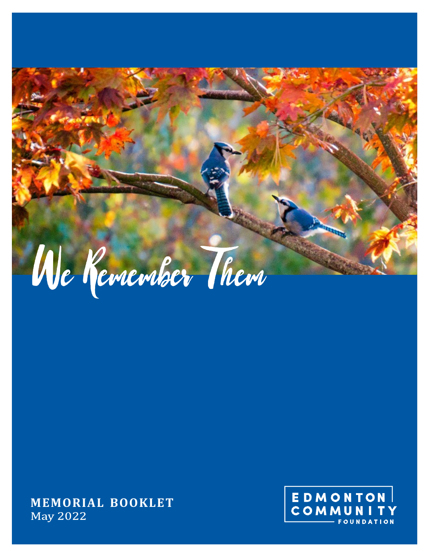

**MEMORIAL BOOKLETMay 2022** 

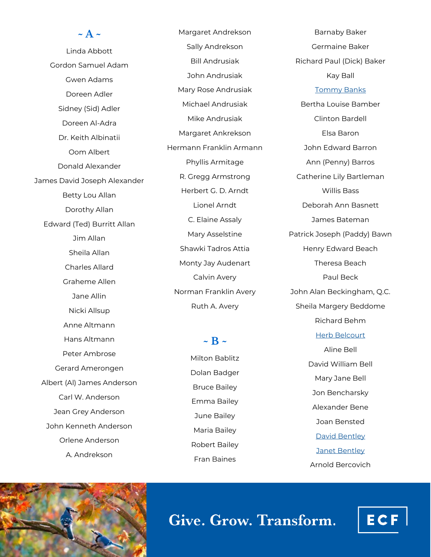## **~ A ~** Linda Abbott Gordon Samuel Adam Gwen Adams Doreen Adler Sidney (Sid) Adler Doreen Al-Adra Dr. Keith Albinatii Oom Albert Donald Alexander James David Joseph Alexander Betty Lou Allan Dorothy Allan Edward (Ted) Burritt Allan Jim Allan Sheila Allan Charles Allard Graheme Allen Jane Allin Nicki Allsup Anne Altmann Hans Altmann Peter Ambrose Gerard Amerongen Albert (Al) James Anderson Carl W. Anderson Jean Grey Anderson John Kenneth Anderson Orlene Anderson

A. Andrekson

Margaret Andrekson Sally Andrekson Bill Andrusiak John Andrusiak Mary Rose Andrusiak Michael Andrusiak Mike Andrusiak Margaret Ankrekson Hermann Franklin Armann Phyllis Armitage R. Gregg Armstrong Herbert G. D. Arndt Lionel Arndt C. Elaine Assaly Mary Asselstine Shawki Tadros Attia Monty Jay Audenart Calvin Avery Norman Franklin Avery Ruth A. Avery

 $\sim$  B  $\sim$ 

Milton Bablitz Dolan Badger Bruce Bailey Emma Bailey June Bailey Maria Bailey Robert Bailey Fran Baines

Barnaby Baker Germaine Baker Richard Paul (Dick) Baker Kay Ball

#### [Tommy Banks](https://www.ecfoundation.org/funds/banks-tommy/)

Bertha Louise Bamber Clinton Bardell Elsa Baron John Edward Barron Ann (Penny) Barros Catherine Lily Bartleman Willis Bass Deborah Ann Basnett James Bateman Patrick Joseph (Paddy) Bawn Henry Edward Beach Theresa Beach Paul Beck John Alan Beckingham, Q.C. Sheila Margery Beddome Richard Behm [Herb Belcourt](https://www.ecfoundation.org/funds/belcourt-herb/)

> Aline Bell David William Bell Mary Jane Bell Jon Bencharsky Alexander Bene Joan Bensted [David Bentley](https://www.ecfoundation.org/funds/bently-david/) [Janet Bentley](https://www.ecfoundation.org/funds/bentley-janet/) Arnold Bercovich

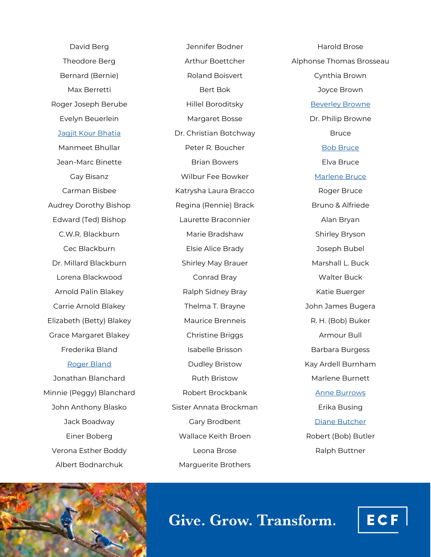David Berg Theodore Berg Bernard (Bernie) Max Berretti Roger Joseph Berube Evelyn Beuerlein [Jagjit Kour Bhatia](https://www.ecfoundation.org/funds/bhatia-jagiti-kour/) Manmeet Bhullar Jean-Marc Binette Gay Bisanz Carman Bisbee Audrey Dorothy Bishop Edward (Ted) Bishop C.W.R. Blackburn Cec Blackburn Dr. Millard Blackburn Lorena Blackwood Arnold Palin Blakey Carrie Arnold Blakey Elizabeth (Betty) Blakey Grace Margaret Blakey Frederika Bland [Roger Bland](https://www.ecfoundation.org/funds/bland-roger/) Jonathan Blanchard Minnie (Peggy) Blanchard John Anthony Blasko

Jack Boadway Einer Boberg Verona Esther Boddy Albert Bodnarchuk

Jennifer Bodner Arthur Boettcher Roland Boisvert Bert Bok Hillel Boroditsky Margaret Bosse Dr. Christian Botchway Peter R. Boucher Brian Bowers Wilbur Fee Bowker Katrysha Laura Bracco Regina (Rennie) Brack Laurette Braconnier Marie Bradshaw Elsie Alice Brady Shirley May Brauer Conrad Bray Ralph Sidney Bray Thelma T. Brayne Maurice Brenneis Christine Briggs Isabelle Brisson Dudley Bristow Ruth Bristow Robert Brockbank Sister Annata Brockman Gary Brodbent Wallace Keith Broen Leona Brose Marguerite Brothers

Harold Brose Alphonse Thomas Brosseau Cynthia Brown Joyce Brown [Beverley Browne](https://www.ecfoundation.org/funds/9426/) Dr. Philip Browne **Bruce** [Bob Bruce](https://www.ecfoundation.org/funds/26bg1234-family-fund/) Elva Bruce [Marlene Bruce](https://www.ecfoundation.org/funds/26bg1234-family-fund/) Roger Bruce Bruno & Alfriede Alan Bryan Shirley Bryson Joseph Bubel Marshall L. Buck Walter Buck Katie Buerger John James Bugera R. H. (Bob) Buker Armour Bull Barbara Burgess Kay Ardell Burnham Marlene Burnett [Anne Burrows](https://www.ecfoundation.org/funds/anne-burrows-music-foundation-endowment-fund/) Erika Busing [Diane Butcher](https://www.ecfoundation.org/funds/diane-butcher-open-door-legacy-fund/) Robert (Bob) Butler Ralph Buttner



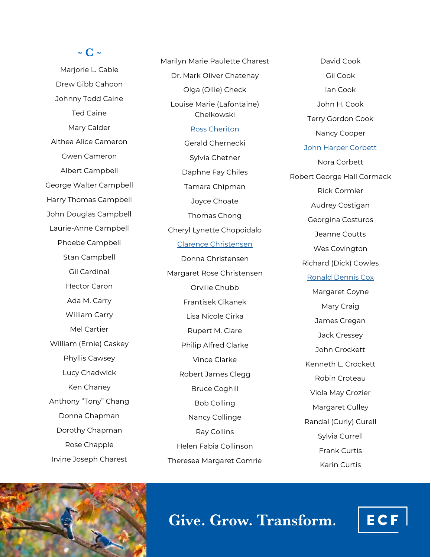### **~ C ~**

Marjorie L. Cable Drew Gibb Cahoon Johnny Todd Caine Ted Caine Mary Calder Althea Alice Cameron Gwen Cameron Albert Campbell George Walter Campbell Harry Thomas Campbell John Douglas Campbell Laurie-Anne Campbell Phoebe Campbell Stan Campbell Gil Cardinal Hector Caron Ada M. Carry William Carry Mel Cartier William (Ernie) Caskey Phyllis Cawsey Lucy Chadwick Ken Chaney Anthony "Tony" Chang Donna Chapman Dorothy Chapman Rose Chapple Irvine Joseph Charest

Marilyn Marie Paulette Charest Dr. Mark Oliver Chatenay Olga (Ollie) Check Louise Marie (Lafontaine) Chelkowski [Ross Cheriton](https://www.ecfoundation.org/funds/cheriton-william-ross/) Gerald Chernecki Sylvia Chetner Daphne Fay Chiles Tamara Chipman Joyce Choate Thomas Chong Cheryl Lynette Chopoidalo [Clarence Christensen](https://www.ecfoundation.org/funds/christensen-clarence-m/) Donna Christensen Margaret Rose Christensen Orville Chubb Frantisek Cikanek Lisa Nicole Cirka Rupert M. Clare Philip Alfred Clarke Vince Clarke Robert James Clegg Bruce Coghill Bob Colling Nancy Collinge Ray Collins Helen Fabia Collinson Theresea Margaret Comrie

David Cook Gil Cook Ian Cook John H. Cook Terry Gordon Cook Nancy Cooper [John Harper Corbett](https://www.ecfoundation.org/funds/corbett-john-harper/) Nora Corbett Robert George Hall Cormack Rick Cormier Audrey Costigan Georgina Costuros Jeanne Coutts Wes Covington Richard (Dick) Cowles [Ronald Dennis Cox](https://www.ecfoundation.org/funds/cox-ronald-dennis/) Margaret Coyne Mary Craig James Cregan Jack Cressey John Crockett Kenneth L. Crockett Robin Croteau Viola May Crozier Margaret Culley Randal (Curly) Curell Sylvia Currell Frank Curtis Karin Curtis



# Give. Grow. Transform.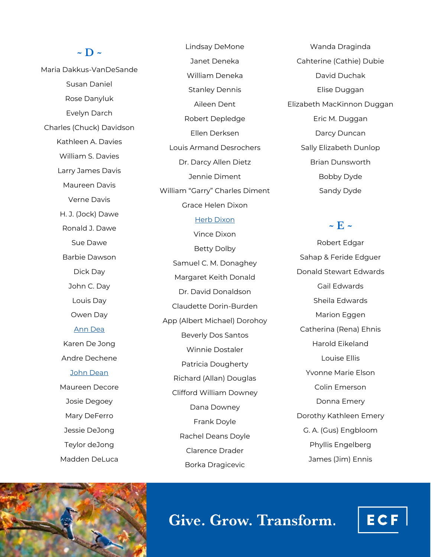#### **~ D ~**

Maria Dakkus-VanDeSande Susan Daniel Rose Danyluk Evelyn Darch Charles (Chuck) Davidson Kathleen A. Davies William S. Davies Larry James Davis Maureen Davis Verne Davis H. J. (Jock) Dawe Ronald J. Dawe Sue Dawe Barbie Dawson Dick Day John C. Day Louis Day Owen Day [Ann Dea](https://www.ecfoundation.org/funds/dea-ann/) Karen De Jong Andre Dechene [John Dean](https://www.ecfoundation.org/funds/dean-john/) Maureen Decore Josie Degoey Mary DeFerro Jessie DeJong Teylor deJong Madden DeLuca

Lindsay DeMone Janet Deneka William Deneka Stanley Dennis Aileen Dent Robert Depledge Ellen Derksen Louis Armand Desrochers Dr. Darcy Allen Dietz Jennie Diment William "Garry" Charles Diment Grace Helen Dixon

#### [Herb Dixon](https://www.ecfoundation.org/funds/herb-dixon-full-steam-ahead-award-fund/)

Vince Dixon Betty Dolby Samuel C. M. Donaghey Margaret Keith Donald Dr. David Donaldson Claudette Dorin-Burden App (Albert Michael) Dorohoy Beverly Dos Santos Winnie Dostaler Patricia Dougherty Richard (Allan) Douglas Clifford William Downey Dana Downey Frank Doyle Rachel Deans Doyle Clarence Drader Borka Dragicevic

Wanda Draginda Cahterine (Cathie) Dubie David Duchak Elise Duggan Elizabeth MacKinnon Duggan Eric M. Duggan Darcy Duncan Sally Elizabeth Dunlop Brian Dunsworth Bobby Dyde Sandy Dyde

#### $\sim$  **F**  $\sim$

Robert Edgar Sahap & Feride Edguer Donald Stewart Edwards Gail Edwards Sheila Edwards Marion Eggen Catherina (Rena) Ehnis Harold Eikeland Louise Ellis Yvonne Marie Elson Colin Emerson Donna Emery Dorothy Kathleen Emery G. A. (Gus) Engbloom Phyllis Engelberg James (Jim) Ennis



# Give. Grow. Transform.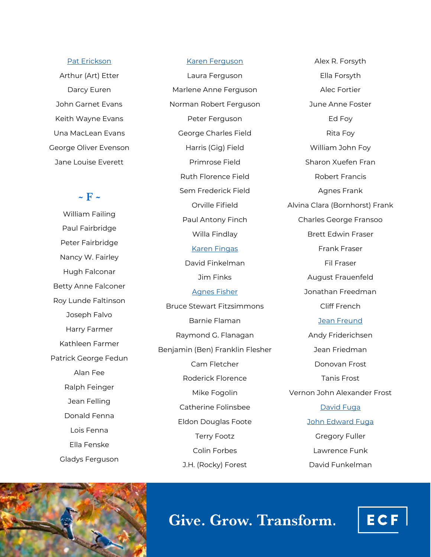#### [Pat Erickson](https://www.ecfoundation.org/funds/erickson-patricia/)

Arthur (Art) Etter Darcy Euren John Garnet Evans Keith Wayne Evans Una MacLean Evans George Oliver Evenson Jane Louise Everett

#### $\sim$  **F**  $\sim$

William Failing Paul Fairbridge Peter Fairbridge Nancy W. Fairley Hugh Falconar Betty Anne Falconer Roy Lunde Faltinson Joseph Falvo Harry Farmer Kathleen Farmer Patrick George Fedun Alan Fee Ralph Feinger Jean Felling Donald Fenna Lois Fenna Ella Fenske Gladys Ferguson

#### [Karen Ferguson](https://www.ecfoundation.org/funds/ferguson-karen-maria/)

Laura Ferguson Marlene Anne Ferguson Norman Robert Ferguson Peter Ferguson George Charles Field Harris (Gig) Field Primrose Field Ruth Florence Field Sem Frederick Field Orville Fifield Paul Antony Finch Willa Findlay [Karen Fingas](https://www.ecfoundation.org/funds/fingas-karen/) David Finkelman Jim Finks [Agnes Fisher](https://www.ecfoundation.org/funds/agnes-fisher/) Bruce Stewart Fitzsimmons Barnie Flaman Raymond G. Flanagan Benjamin (Ben) Franklin Flesher Cam Fletcher Roderick Florence Mike Fogolin Catherine Folinsbee Eldon Douglas Foote Terry Footz Colin Forbes J.H. (Rocky) Forest

Alex R. Forsyth Ella Forsyth Alec Fortier June Anne Foster Ed Foy Rita Foy William John Foy Sharon Xuefen Fran Robert Francis Agnes Frank Alvina Clara (Bornhorst) Frank Charles George Fransoo Brett Edwin Fraser Frank Fraser Fil Fraser August Frauenfeld Jonathan Freedman Cliff French [Jean Freund](https://www.ecfoundation.org/funds/freund-jean/) Andy Friderichsen Jean Friedman Donovan Frost Tanis Frost Vernon John Alexander Frost [David Fuga](https://www.ecfoundation.org/funds/david-fuga-memorial-fund/) [John Edward Fuga](https://www.ecfoundation.org/funds/david-fuga-memorial-fund/) Gregory Fuller Lawrence Funk David Funkelman



Give. Grow. Transform.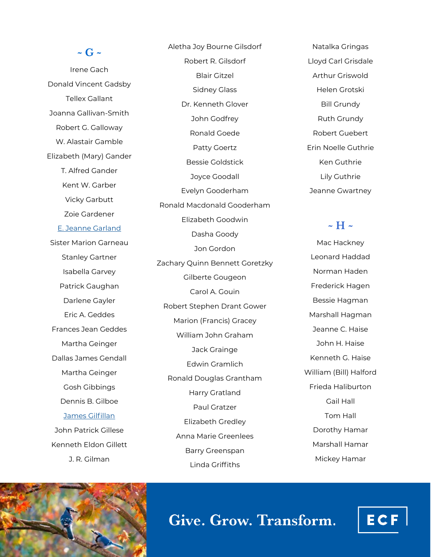#### **~ G ~**

Irene Gach Donald Vincent Gadsby Tellex Gallant Joanna Gallivan-Smith Robert G. Galloway W. Alastair Gamble Elizabeth (Mary) Gander T. Alfred Gander Kent W. Garber Vicky Garbutt Zoie Gardener [E. Jeanne Garland](https://www.ecfoundation.org/funds/garland-evelyn/) Sister Marion Garneau Stanley Gartner Isabella Garvey Patrick Gaughan Darlene Gayler Eric A. Geddes Frances Jean Geddes Martha Geinger Dallas James Gendall Martha Geinger Gosh Gibbings Dennis B. Gilboe [James Gilfillan](https://www.ecfoundation.org/funds/gilfillan-james/) John Patrick Gillese Kenneth Eldon Gillett

Aletha Joy Bourne Gilsdorf Robert R. Gilsdorf Blair Gitzel Sidney Glass Dr. Kenneth Glover John Godfrey Ronald Goede Patty Goertz Bessie Goldstick Joyce Goodall Evelyn Gooderham Ronald Macdonald Gooderham Elizabeth Goodwin Dasha Goody Jon Gordon Zachary Quinn Bennett Goretzky Gilberte Gougeon Carol A. Gouin Robert Stephen Drant Gower Marion (Francis) Gracey William John Graham Jack Grainge Edwin Gramlich Ronald Douglas Grantham Harry Gratland Paul Gratzer Elizabeth Gredley Anna Marie Greenlees Barry Greenspan Linda Griffiths

Natalka Gringas Lloyd Carl Grisdale Arthur Griswold Helen Grotski Bill Grundy Ruth Grundy Robert Guebert Erin Noelle Guthrie Ken Guthrie Lily Guthrie Jeanne Gwartney

### **~ H ~**

Mac Hackney Leonard Haddad Norman Haden Frederick Hagen Bessie Hagman Marshall Hagman Jeanne C. Haise John H. Haise Kenneth G. Haise William (Bill) Halford Frieda Haliburton Gail Hall Tom Hall Dorothy Hamar Marshall Hamar Mickey Hamar



J. R. Gilman

# Give. Grow. Transform.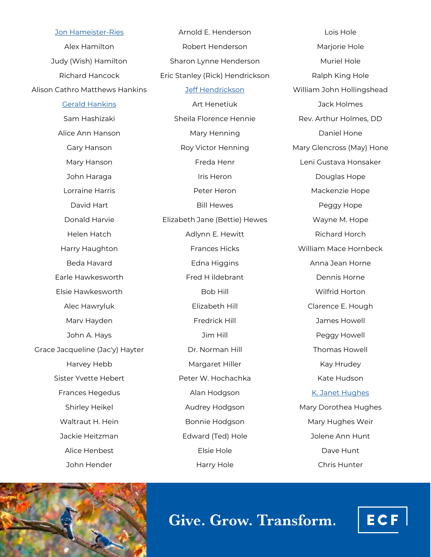[Jon Hameister](https://www.ecfoundation.org/funds/jon-hameister-ries-memorial-fund/)-Ries Alex Hamilton Judy (Wish) Hamilton Richard Hancock Alison Cathro Matthews Hankins [Gerald Hankins](https://www.ecfoundation.org/funds/hankins-gerald/) Sam Hashizaki Alice Ann Hanson Gary Hanson Mary Hanson John Haraga Lorraine Harris David Hart Donald Harvie Helen Hatch Harry Haughton Beda Havard Earle Hawkesworth Elsie Hawkesworth Alec Hawryluk Marv Hayden John A. Hays Grace Jacqueline (Jac'y) Hayter Harvey Hebb Sister Yvette Hebert Frances Hegedus Shirley Heikel Waltraut H. Hein Jackie Heitzman Alice Henbest John Hender

Arnold E. Henderson Robert Henderson Sharon Lynne Henderson Eric Stanley (Rick) Hendrickson [Jeff Hendrickson](https://www.ecfoundation.org/funds/hendrickson-jeff/) Art Henetiuk Sheila Florence Hennie Mary Henning Roy Victor Henning Freda Henr Iris Heron Peter Heron Bill Hewes Elizabeth Jane (Bettie) Hewes Adlynn E. Hewitt Frances Hicks Edna Higgins Fred H ildebrant Bob Hill Elizabeth Hill Fredrick Hill Jim Hill Dr. Norman Hill Margaret Hiller Peter W. Hochachka Alan Hodgson Audrey Hodgson Bonnie Hodgson Edward (Ted) Hole Elsie Hole Harry Hole

Lois Hole Marjorie Hole Muriel Hole Ralph King Hole William John Hollingshead Jack Holmes Rev. Arthur Holmes, DD Daniel Hone Mary Glencross (May) Hone Leni Gustava Honsaker Douglas Hope Mackenzie Hope Peggy Hope Wayne M. Hope Richard Horch William Mace Hornbeck Anna Jean Horne Dennis Horne Wilfrid Horton Clarence E. Hough James Howell Peggy Howell Thomas Howell Kay Hrudey Kate Hudson [K. Janet Hughes](https://www.ecfoundation.org/funds/hughes-kathleen/) Mary Dorothea Hughes Mary Hughes Weir Jolene Ann Hunt Dave Hunt Chris Hunter



Give. Grow. Transform.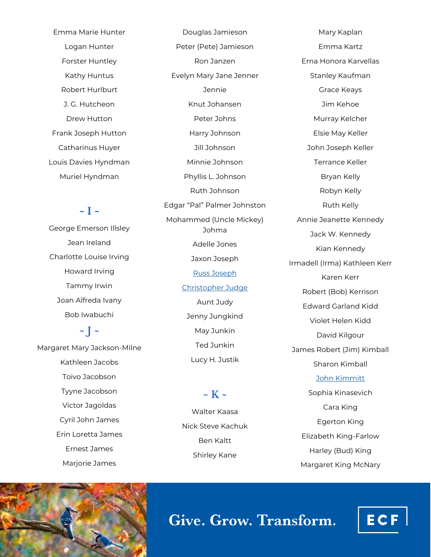Emma Marie Hunter Logan Hunter Forster Huntley Kathy Huntus Robert Hurlburt J. G. Hutcheon Drew Hutton Frank Joseph Hutton Catharinus Huyer Louis Davies Hyndman Muriel Hyndman

### $\sim$  **I**  $\sim$

George Emerson Illsley Jean Ireland Charlotte Louise Irving Howard Irving Tammy Irwin Joan Alfreda Ivany Bob Iwabuchi

## $\sim$  **J**  $\sim$ Margaret Mary Jackson-Milne Kathleen Jacobs Toivo Jacobson Tyyne Jacobson Victor Jagoldas Cyril John James Erin Loretta James Ernest James Marjorie James

Peter (Pete) Jamieson Ron Janzen Evelyn Mary Jane Jenner Jennie Knut Johansen Peter Johns Harry Johnson Jill Johnson Minnie Johnson Phyllis L. Johnson Ruth Johnson Edgar "Pal" Palmer Johnston Mohammed (Uncle Mickey) Johma Adelle Jones Jaxon Joseph [Russ Joseph](https://www.ecfoundation.org/funds/russ-joseph-memorial-fund/) [Christopher Judge](https://www.ecfoundation.org/funds/judge-chris/) Aunt Judy Jenny Jungkind May Junkin Ted Junkin Lucy H. Justik

Douglas Jamieson

Walter Kaasa Nick Steve Kachuk Ben Kaltt Shirley Kane

**~ K ~**

Mary Kaplan Emma Kartz Erna Honora Karvellas Stanley Kaufman Grace Keays Jim Kehoe Murray Kelcher Elsie May Keller John Joseph Keller Terrance Keller Bryan Kelly Robyn Kelly Ruth Kelly Annie Jeanette Kennedy Jack W. Kennedy Kian Kennedy Irmadell (Irma) Kathleen Kerr Karen Kerr Robert (Bob) Kerrison Edward Garland Kidd Violet Helen Kidd David Kilgour James Robert (Jim) Kimball Sharon Kimball [John Kimmitt](https://www.ecfoundation.org/funds/john-linda-kimmitt-family-fund/) Sophia Kinasevich Cara King Egerton King

> Elizabeth King-Farlow Harley (Bud) King Margaret King McNary



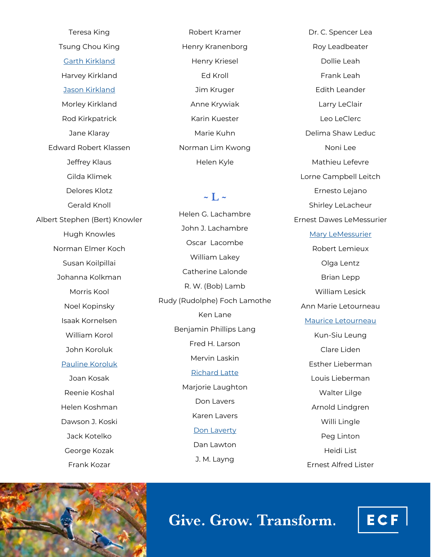Teresa King Tsung Chou King [Garth Kirkland](https://www.ecfoundation.org/funds/kirkland-garth/) Harvey Kirkland [Jason Kirkland](https://www.ecfoundation.org/funds/kirkland-jason-scott/) Morley Kirkland Rod Kirkpatrick Jane Klaray Edward Robert Klassen Jeffrey Klaus Gilda Klimek Delores Klotz Gerald Knoll Albert Stephen (Bert) Knowler Hugh Knowles Norman Elmer Koch Susan Koilpillai Johanna Kolkman Morris Kool Noel Kopinsky Isaak Kornelsen William Korol John Koroluk [Pauline Koroluk](https://www.ecfoundation.org/funds/koroluk-pauline/) Joan Kosak Reenie Koshal Helen Koshman Dawson J. Koski Jack Kotelko George Kozak Frank Kozar

Robert Kramer Henry Kranenborg Henry Kriesel Ed Kroll Jim Kruger Anne Krywiak Karin Kuester Marie Kuhn Norman Lim Kwong Helen Kyle

#### $\sim$  **I**  $\sim$

Helen G. Lachambre John J. Lachambre Oscar Lacombe William Lakey Catherine Lalonde R. W. (Bob) Lamb Rudy (Rudolphe) Foch Lamothe Ken Lane Benjamin Phillips Lang Fred H. Larson Mervin Laskin [Richard Latte](https://www.ecfoundation.org/funds/richard-latte-education-fund/) Marjorie Laughton Don Lavers Karen Lavers [Don Laverty](https://www.ecfoundation.org/funds/laverty-don/) Dan Lawton J. M. Layng

Dr. C. Spencer Lea Roy Leadbeater Dollie Leah Frank Leah Edith Leander Larry LeClair Leo LeClerc Delima Shaw Leduc Noni Lee Mathieu Lefevre Lorne Campbell Leitch Ernesto Lejano Shirley LeLacheur Ernest Dawes LeMessurier [Mary LeMessurier](https://www.ecfoundation.org/funds/lemessurier-mary/) Robert Lemieux Olga Lentz Brian Lepp William Lesick Ann Marie Letourneau [Maurice Letourneau](https://www.ecfoundation.org/funds/letourneau-maurice/) Kun-Siu Leung Clare Liden Esther Lieberman Louis Lieberman Walter Lilge Arnold Lindgren Willi Lingle Peg Linton Heidi List Ernest Alfred Lister



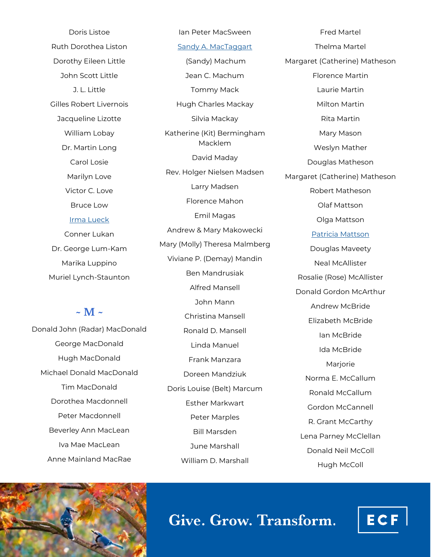Doris Listoe Ruth Dorothea Liston Dorothy Eileen Little John Scott Little J. L. Little Gilles Robert Livernois Jacqueline Lizotte William Lobay Dr. Martin Long Carol Losie Marilyn Love Victor C. Love Bruce Low [Irma Lueck](https://www.ecfoundation.org/funds/lueck-irma/) Conner Lukan Dr. George Lum-Kam Marika Luppino Muriel Lynch-Staunton

#### **~ M ~**

Donald John (Radar) MacDonald George MacDonald Hugh MacDonald Michael Donald MacDonald Tim MacDonald Dorothea Macdonnell Peter Macdonnell Beverley Ann MacLean Iva Mae MacLean Anne Mainland MacRae

[Sandy A. MacTaggart](https://www.ecfoundation.org/funds/mactaggart-sandy-a/) (Sandy) Machum Jean C. Machum Tommy Mack Hugh Charles Mackay Silvia Mackay Katherine (Kit) Bermingham Macklem David Maday Rev. Holger Nielsen Madsen Larry Madsen Florence Mahon Emil Magas Andrew & Mary Makowecki Mary (Molly) Theresa Malmberg Viviane P. (Demay) Mandin Ben Mandrusiak Alfred Mansell John Mann Christina Mansell Ronald D. Mansell Linda Manuel Frank Manzara Doreen Mandziuk Doris Louise (Belt) Marcum Esther Markwart Peter Marples Bill Marsden June Marshall William D. Marshall

Ian Peter MacSween

Fred Martel Thelma Martel Margaret (Catherine) Matheson Florence Martin Laurie Martin Milton Martin Rita Martin Mary Mason Weslyn Mather Douglas Matheson Margaret (Catherine) Matheson Robert Matheson Olaf Mattson Olga Mattson [Patricia Mattson](https://www.ecfoundation.org/funds/patricia-mattson-legacy-fund/) Douglas Maveety Neal McAllister Rosalie (Rose) McAllister Donald Gordon McArthur Andrew McBride Elizabeth McBride Ian McBride Ida McBride **Mariorie** Norma E. McCallum Ronald McCallum Gordon McCannell R. Grant McCarthy Lena Parney McClellan Donald Neil McColl Hugh McColl



# Give. Grow. Transform.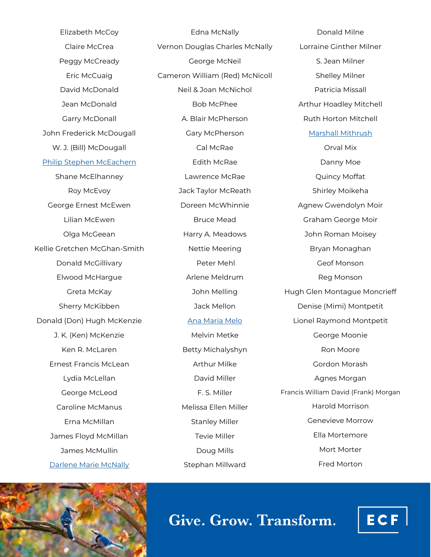Elizabeth McCoy Claire McCrea Peggy McCready Eric McCuaig David McDonald Jean McDonald Garry McDonall John Frederick McDougall W. J. (Bill) McDougall [Philip Stephen McEachern](https://www.ecfoundation.org/funds/mceachern-philip-stephen/) Shane McElhanney Roy McEvoy George Ernest McEwen Lilian McEwen Olga McGeean Kellie Gretchen McGhan-Smith Donald McGillivary Elwood McHargue Greta McKay Sherry McKibben Donald (Don) Hugh McKenzie J. K. (Ken) McKenzie Ken R. McLaren Ernest Francis McLean Lydia McLellan George McLeod Caroline McManus Erna McMillan James Floyd McMillan James McMullin [Darlene Marie McNally](https://www.ecfoundation.org/funds/mcnally-darlene/)

Edna McNally Vernon Douglas Charles McNally George McNeil Cameron William (Red) McNicoll Neil & Joan McNichol Bob McPhee A. Blair McPherson Gary McPherson Cal McRae Edith McRae Lawrence McRae Jack Taylor McReath Doreen McWhinnie Bruce Mead Harry A. Meadows Nettie Meering Peter Mehl Arlene Meldrum John Melling Jack Mellon [Ana Maria Melo](https://www.ecfoundation.org/funds/ana-maria-melo-fund/) Melvin Metke Betty Michalyshyn Arthur Milke David Miller F. S. Miller Melissa Ellen Miller Stanley Miller Tevie Miller Doug Mills Stephan Millward

Donald Milne Lorraine Ginther Milner S. Jean Milner Shelley Milner Patricia Missall Arthur Hoadley Mitchell Ruth Horton Mitchell [Marshall Mithrush](https://www.ecfoundation.org/funds/mithrush-marshall/) Orval Mix Danny Moe Quincy Moffat Shirley Moikeha Agnew Gwendolyn Moir Graham George Moir John Roman Moisey Bryan Monaghan Geof Monson Reg Monson Hugh Glen Montague Moncrieff Denise (Mimi) Montpetit Lionel Raymond Montpetit George Moonie Ron Moore Gordon Morash Agnes Morgan Francis William David (Frank) Morgan Harold Morrison Genevieve Morrow Ella Mortemore Mort Morter Fred Morton



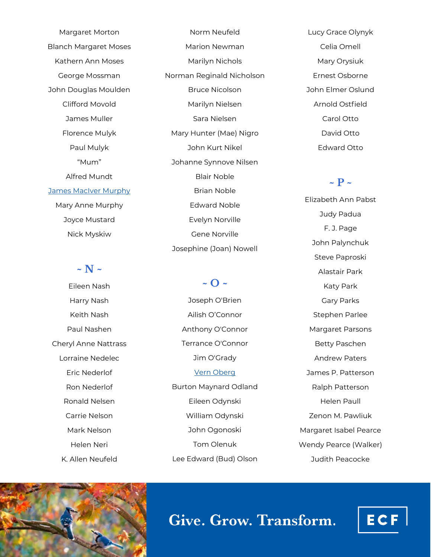Margaret Morton Blanch Margaret Moses Kathern Ann Moses George Mossman John Douglas Moulden Clifford Movold James Muller Florence Mulyk Paul Mulyk "Mum" Alfred Mundt [James MacIver Murphy](https://www.ecfoundation.org/funds/murphy-james-maciver/) Mary Anne Murphy Joyce Mustard Nick Myskiw

## **~ N ~**

Eileen Nash Harry Nash Keith Nash Paul Nashen Cheryl Anne Nattrass Lorraine Nedelec Eric Nederlof Ron Nederlof Ronald Nelsen Carrie Nelson Mark Nelson Helen Neri K. Allen Neufeld

Norm Neufeld Marion Newman Marilyn Nichols Norman Reginald Nicholson Bruce Nicolson Marilyn Nielsen Sara Nielsen Mary Hunter (Mae) Nigro John Kurt Nikel Johanne Synnove Nilsen Blair Noble Brian Noble Edward Noble Evelyn Norville Gene Norville Josephine (Joan) Nowell

## **~ O ~**

Joseph O'Brien Ailish O'Connor Anthony O'Connor Terrance O'Connor Jim O'Grady [Vern Oberg](https://www.ecfoundation.org/funds/oberg-vern/) Burton Maynard Odland Eileen Odynski William Odynski John Ogonoski Tom Olenuk Lee Edward (Bud) Olson

Lucy Grace Olynyk Celia Omell Mary Orysiuk Ernest Osborne John Elmer Oslund Arnold Ostfield Carol Otto David Otto Edward Otto

### $\sim$  **P**  $\sim$

Elizabeth Ann Pabst Judy Padua F. J. Page John Palynchuk Steve Paproski Alastair Park Katy Park Gary Parks Stephen Parlee Margaret Parsons Betty Paschen Andrew Paters James P. Patterson Ralph Patterson Helen Paull Zenon M. Pawliuk Margaret Isabel Pearce Wendy Pearce (Walker) Judith Peacocke



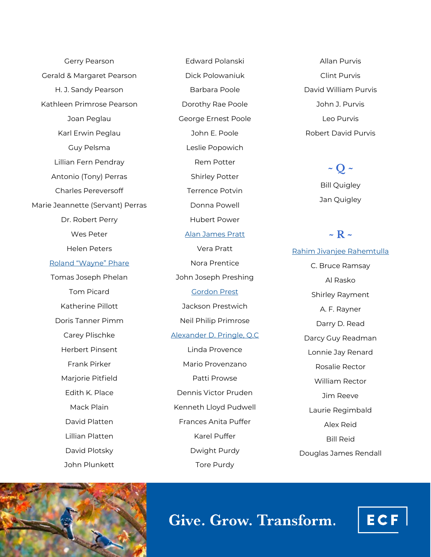Gerry Pearson Gerald & Margaret Pearson H. J. Sandy Pearson Kathleen Primrose Pearson Joan Peglau Karl Erwin Peglau Guy Pelsma Lillian Fern Pendray Antonio (Tony) Perras Charles Pereversoff Marie Jeannette (Servant) Perras Dr. Robert Perry Wes Peter Helen Peters [Roland](https://www.ecfoundation.org/funds/phare-ronald-wayne/) "Wayne" Phare Tomas Joseph Phelan Tom Picard Katherine Pillott Doris Tanner Pimm Carey Plischke Herbert Pinsent Frank Pirker Mariorie Pitfield Edith K. Place Mack Plain David Platten Lillian Platten David Plotsky

Edward Polanski Dick Polowaniuk Barbara Poole Dorothy Rae Poole George Ernest Poole John E. Poole Leslie Popowich Rem Potter Shirley Potter Terrence Potvin Donna Powell Hubert Power [Alan James Pratt](https://www.ecfoundation.org/funds/pratt-alan/) Vera Pratt Nora Prentice John Joseph Preshing [Gordon Prest](https://www.ecfoundation.org/funds/prest-gordon/) Jackson Prestwich Neil Philip Primrose [Alexander D. Pringle, Q.C](https://www.ecfoundation.org/funds/pringle-alexander-d/) Linda Provence Mario Provenzano Patti Prowse Dennis Victor Pruden Kenneth Lloyd Pudwell Frances Anita Puffer Karel Puffer Dwight Purdy Tore Purdy

Allan Purvis Clint Purvis David William Purvis John J. Purvis Leo Purvis Robert David Purvis

> **~ Q ~** Bill Quigley Jan Quigley

### **~ R ~**

[Rahim Jivanjee Rahemtulla](https://www.ecfoundation.org/funds/rahemtulla-rahim-jivanjee/) C. Bruce Ramsay Al Rasko Shirley Rayment A. F. Rayner Darry D. Read Darcy Guy Readman Lonnie Jay Renard Rosalie Rector William Rector Jim Reeve Laurie Regimbald Alex Reid Bill Reid Douglas James Rendall



John Plunkett

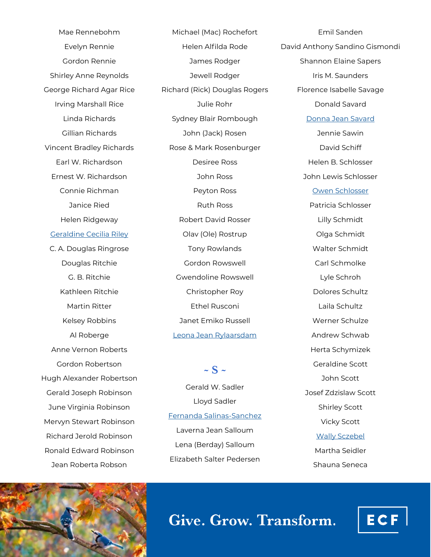Mae Rennebohm Evelyn Rennie Gordon Rennie Shirley Anne Reynolds George Richard Agar Rice Irving Marshall Rice Linda Richards Gillian Richards Vincent Bradley Richards Earl W. Richardson Ernest W. Richardson Connie Richman Janice Ried Helen Ridgeway [Geraldine Cecilia Riley](https://www.ecfoundation.org/funds/geraldine-cecilia-riley-fund/) C. A. Douglas Ringrose Douglas Ritchie G. B. Ritchie Kathleen Ritchie Martin Ritter Kelsey Robbins Al Roberge Anne Vernon Roberts Gordon Robertson Hugh Alexander Robertson Gerald Joseph Robinson June Virginia Robinson Mervyn Stewart Robinson Richard Jerold Robinson Ronald Edward Robinson Jean Roberta Robson

Michael (Mac) Rochefort Helen Alfilda Rode James Rodger Jewell Rodger Richard (Rick) Douglas Rogers Julie Rohr Sydney Blair Rombough John (Jack) Rosen Rose & Mark Rosenburger Desiree Ross John Ross Peyton Ross Ruth Ross Robert David Rosser Olav (Ole) Rostrup Tony Rowlands Gordon Rowswell Gwendoline Rowswell Christopher Roy Ethel Rusconi Janet Emiko Russell [Leona Jean Rylaarsdam](https://www.ecfoundation.org/funds/rylaarsdam-leona-jean/)

Gerald W. Sadler Lloyd Sadler [Fernanda Salinas](https://www.ecfoundation.org/funds/fernanda-salinas-sanchez-memorial-fund/)-Sanchez Laverna Jean Salloum Lena (Berday) Salloum Elizabeth Salter Pedersen

 $\sim$  S  $\sim$ 

Emil Sanden David Anthony Sandino Gismondi Shannon Elaine Sapers Iris M. Saunders Florence Isabelle Savage Donald Savard [Donna Jean Savard](https://www.ecfoundation.org/funds/savard-donna/) Jennie Sawin David Schiff Helen B. Schlosser John Lewis Schlosser [Owen Schlosser](https://www.ecfoundation.org/funds/owen-schlosser-fund/) Patricia Schlosser Lilly Schmidt Olga Schmidt Walter Schmidt Carl Schmolke Lyle Schroh Dolores Schultz Laila Schultz Werner Schulze Andrew Schwab Herta Schymizek Geraldine Scott John Scott Josef Zdzislaw Scott Shirley Scott Vicky Scott [Wally Sczebel](https://www.ecfoundation.org/funds/sczebel-wally/) Martha Seidler Shauna Seneca



Give. Grow. Transform.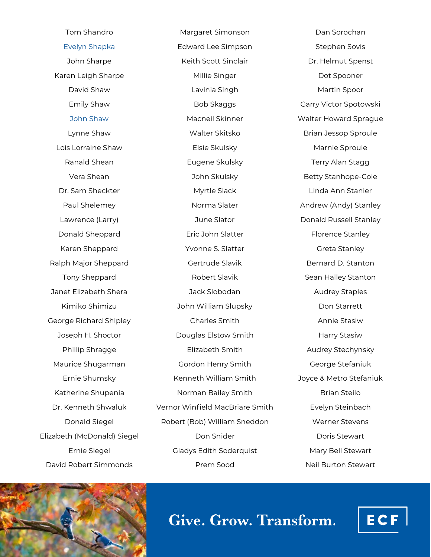Tom Shandro [Evelyn Shapka](https://www.ecfoundation.org/funds/shapka-evelyn/) John Sharpe Karen Leigh Sharpe David Shaw Emily Shaw [John Shaw](https://www.ecfoundation.org/funds/shaw-john/) Lynne Shaw Lois Lorraine Shaw Ranald Shean Vera Shean Dr. Sam Sheckter Paul Shelemey Lawrence (Larry) Donald Sheppard Karen Sheppard Ralph Major Sheppard Tony Sheppard Janet Elizabeth Shera Kimiko Shimizu George Richard Shipley Joseph H. Shoctor Phillip Shragge Maurice Shugarman Ernie Shumsky Katherine Shupenia Dr. Kenneth Shwaluk Donald Siegel Elizabeth (McDonald) Siegel Ernie Siegel David Robert Simmonds

Margaret Simonson Edward Lee Simpson Keith Scott Sinclair Millie Singer Lavinia Singh Bob Skaggs Macneil Skinner Walter Skitsko Elsie Skulsky Eugene Skulsky John Skulsky Myrtle Slack Norma Slater June Slator Eric John Slatter Yvonne S. Slatter Gertrude Slavik Robert Slavik Jack Slobodan John William Slupsky Charles Smith Douglas Elstow Smith Elizabeth Smith Gordon Henry Smith Kenneth William Smith Norman Bailey Smith Vernor Winfield MacBriare Smith Robert (Bob) William Sneddon Don Snider Gladys Edith Soderquist Prem Sood

Dan Sorochan Stephen Sovis Dr. Helmut Spenst Dot Spooner Martin Spoor Garry Victor Spotowski Walter Howard Sprague Brian Jessop Sproule Marnie Sproule Terry Alan Stagg Betty Stanhope-Cole Linda Ann Stanier Andrew (Andy) Stanley Donald Russell Stanley Florence Stanley Greta Stanley Bernard D. Stanton Sean Halley Stanton Audrey Staples Don Starrett Annie Stasiw Harry Stasiw Audrey Stechynsky George Stefaniuk Joyce & Metro Stefaniuk Brian Steilo Evelyn Steinbach Werner Stevens Doris Stewart Mary Bell Stewart Neil Burton Stewart



Give. Grow. Transform.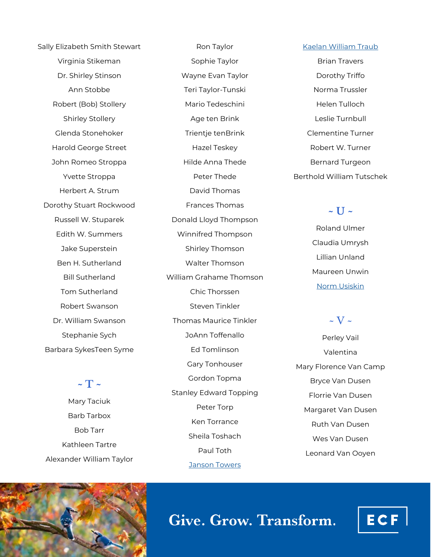Sally Elizabeth Smith Stewart Virginia Stikeman Dr. Shirley Stinson Ann Stobbe Robert (Bob) Stollery Shirley Stollery Glenda Stonehoker Harold George Street John Romeo Stroppa Yvette Stroppa Herbert A. Strum Dorothy Stuart Rockwood Russell W. Stuparek Edith W. Summers Jake Superstein Ben H. Sutherland Bill Sutherland Tom Sutherland Robert Swanson Dr. William Swanson Stephanie Sych Barbara SykesTeen Syme

## $\sim$  T  $\sim$

Mary Taciuk Barb Tarbox Bob Tarr Kathleen Tartre Alexander William Taylor

Ron Taylor Sophie Taylor Wayne Evan Taylor Teri Taylor-Tunski Mario Tedeschini Age ten Brink Trientje tenBrink Hazel Teskey Hilde Anna Thede Peter Thede David Thomas Frances Thomas Donald Lloyd Thompson Winnifred Thompson Shirley Thomson Walter Thomson William Grahame Thomson Chic Thorssen Steven Tinkler Thomas Maurice Tinkler JoAnn Toffenallo Ed Tomlinson Gary Tonhouser Gordon Topma Stanley Edward Topping Peter Torp Ken Torrance Sheila Toshach Paul Toth

[Janson Towers](https://www.ecfoundation.org/funds/janson-towers-gift-fund/)

#### [Kaelan William Traub](https://www.ecfoundation.org/funds/kaelan-william-traub-memorial-fund/)

Brian Travers Dorothy Triffo Norma Trussler Helen Tulloch Leslie Turnbull Clementine Turner Robert W. Turner Bernard Turgeon Berthold William Tutschek

### **~ U ~**

Roland Ulmer Claudia Umrysh Lillian Unland Maureen Unwin [Norm Usiskin](https://www.ecfoundation.org/funds/norm-usiskin-memorial-fund/)

### $\sim$  V  $\sim$

Perley Vail Valentina Mary Florence Van Camp Bryce Van Dusen Florrie Van Dusen Margaret Van Dusen Ruth Van Dusen Wes Van Dusen Leonard Van Ooyen

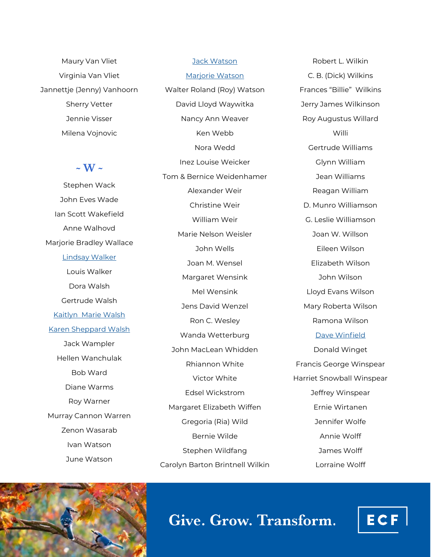Maury Van Vliet Virginia Van Vliet Jannettje (Jenny) Vanhoorn Sherry Vetter Jennie Visser Milena Vojnovic

### **~ W ~**

Stephen Wack John Eves Wade Ian Scott Wakefield Anne Walhovd Marjorie Bradley Wallace [Lindsay Walker](https://www.ecfoundation.org/funds/lindsay-walker-quality-of-life-fund/) Louis Walker Dora Walsh Gertrude Walsh [Kaitlyn Marie Walsh](https://www.ecfoundation.org/funds/kaitlyn-walsh-memorial-fund/) [Karen Sheppard Walsh](https://www.ecfoundation.org/funds/sheppard-walsh-karen/) Jack Wampler Hellen Wanchulak Bob Ward Diane Warms Roy Warner Murray Cannon Warren Zenon Wasarab Ivan Watson June Watson

[Jack Watson](https://www.ecfoundation.org/funds/watson-jack/) [Marjorie Watson](https://www.ecfoundation.org/funds/watson-marjorie/) Walter Roland (Roy) Watson David Lloyd Waywitka Nancy Ann Weaver Ken Webb Nora Wedd Inez Louise Weicker Tom & Bernice Weidenhamer Alexander Weir Christine Weir William Weir Marie Nelson Weisler John Wells Joan M. Wensel Margaret Wensink Mel Wensink Jens David Wenzel Ron C. Wesley Wanda Wetterburg John MacLean Whidden Rhiannon White Victor White Edsel Wickstrom Margaret Elizabeth Wiffen Gregoria (Ria) Wild Bernie Wilde Stephen Wildfang Carolyn Barton Brintnell Wilkin

Robert L. Wilkin C. B. (Dick) Wilkins Frances "Billie" Wilkins Jerry James Wilkinson Roy Augustus Willard Willi Gertrude Williams Glynn William Jean Williams Reagan William D. Munro Williamson G. Leslie Williamson Joan W. Willson Eileen Wilson Elizabeth Wilson John Wilson Lloyd Evans Wilson Mary Roberta Wilson Ramona Wilson [Dave Winfield](https://www.ecfoundation.org/funds/in-memory-of-dave-winfield/) Donald Winget Francis George Winspear Harriet Snowball Winspear Jeffrey Winspear Ernie Wirtanen Jennifer Wolfe Annie Wolff James Wolff Lorraine Wolff



# Give. Grow. Transform.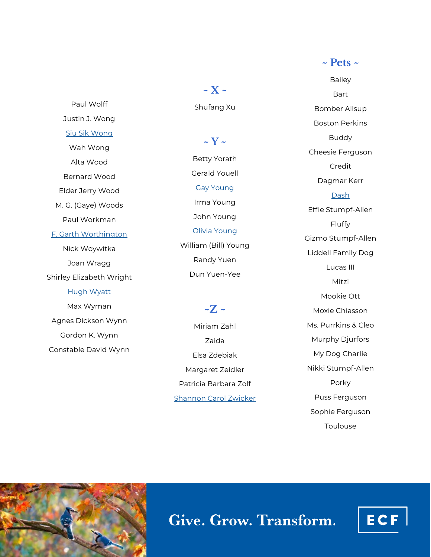Paul Wolff Justin J. Wong [Siu Sik Wong](https://www.ecfoundation.org/funds/wong-siu-sik/) Wah Wong Alta Wood Bernard Wood Elder Jerry Wood M. G. (Gaye) Woods Paul Workman [F. Garth Worthington](https://www.ecfoundation.org/funds/worthington-garth/) Nick Woywitka Joan Wragg Shirley Elizabeth Wright [Hugh Wyatt](https://www.ecfoundation.org/funds/wyatt-hugh/) Max Wyman Agnes Dickson Wynn Gordon K. Wynn Constable David Wynn

**~ X ~** Shufang Xu

**~ Y ~**

Betty Yorath Gerald Youell [Gay Young](https://www.ecfoundation.org/funds/young-gay/) Irma Young John Young [Olivia Young](https://www.ecfoundation.org/funds/young-olivia/) William (Bill) Young Randy Yuen Dun Yuen -Yee

 $\sim Z \sim$ 

Miriam Zahl Zaida Elsa Zdebiak Margaret Zeidler Patricia Barbara Zolf [Shannon Carol Zwicker](https://www.ecfoundation.org/funds/zwicker-shannon/)

Bailey Bart Bomber Allsup Boston Perkins Buddy Cheesie Ferguson Credit Dagmar Kerr **[Dash](https://www.ecfoundation.org/funds/the-dash-fund/)** Effie Stumpf -Allen Fluffy Gizmo Stumpf -Allen Liddell Family Dog Lucas III Mitzi Mookie Ott Moxie Chiasson Ms. Purrkins & Cleo Murphy Djurfors My Dog Charlie Nikki Stumpf -Allen Porky Puss Ferguson Sophie Ferguson Toulouse

**~ Pets ~**